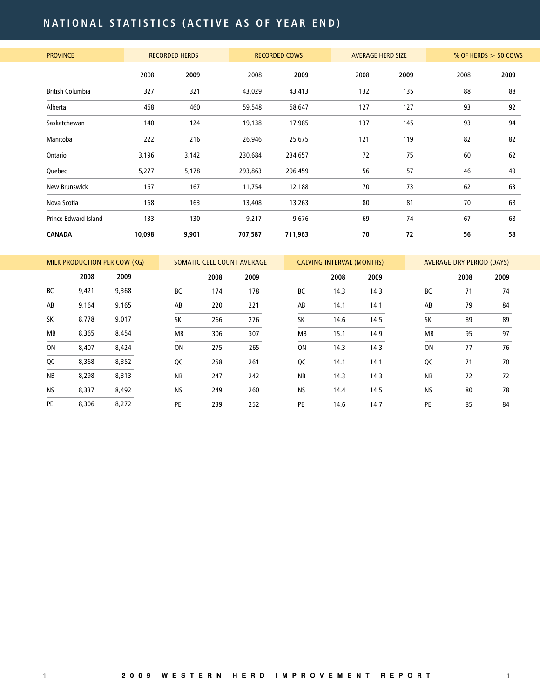# **N A T I O N A L s tati s tic s ( acti v e a s o f y e a r e nd )**

| <b>PROVINCE</b>             |        | <b>RECORDED HERDS</b> |         | <b>RECORDED COWS</b> | <b>AVERAGE HERD SIZE</b> |      |      | % OF HERDS $>$ 50 COWS |
|-----------------------------|--------|-----------------------|---------|----------------------|--------------------------|------|------|------------------------|
|                             | 2008   | 2009                  | 2008    | 2009                 | 2008                     | 2009 | 2008 | 2009                   |
| <b>British Columbia</b>     | 327    | 321                   | 43,029  | 43,413               | 132                      | 135  | 88   | 88                     |
| Alberta                     | 468    | 460                   | 59,548  | 58,647               | 127                      | 127  | 93   | 92                     |
| Saskatchewan                | 140    | 124                   | 19,138  | 17,985               | 137                      | 145  | 93   | 94                     |
| Manitoba                    | 222    | 216                   | 26,946  | 25,675               | 121                      | 119  | 82   | 82                     |
| Ontario                     | 3,196  | 3,142                 | 230,684 | 234,657              | 72                       | 75   | 60   | 62                     |
| Quebec                      | 5,277  | 5,178                 | 293,863 | 296,459              | 56                       | 57   | 46   | 49                     |
| New Brunswick               | 167    | 167                   | 11,754  | 12,188               | 70                       | 73   | 62   | 63                     |
| Nova Scotia                 | 168    | 163                   | 13,408  | 13,263               | 80                       | 81   | 70   | 68                     |
| <b>Prince Edward Island</b> | 133    | 130                   | 9,217   | 9,676                | 69                       | 74   | 67   | 68                     |
| <b>CANADA</b>               | 10,098 | 9,901                 | 707,587 | 711,963              | 70                       | 72   | 56   | 58                     |

|           |       | MILK PRODUCTION PER COW (KG) |           | SOMATIC CELL COUNT AVERAGE |      |           | <b>CALVING INTERVAL (MONTHS)</b> |      |           | <b>AVERAGE DRY PERIOD (DAYS)</b> |      |
|-----------|-------|------------------------------|-----------|----------------------------|------|-----------|----------------------------------|------|-----------|----------------------------------|------|
|           | 2008  | 2009                         |           | 2008                       | 2009 |           | 2008                             | 2009 |           | 2008                             | 2009 |
| BC        | 9,421 | 9,368                        | BC        | 174                        | 178  | <b>BC</b> | 14.3                             | 14.3 | <b>BC</b> | 71                               | 74   |
| AB        | 9,164 | 9,165                        | AB        | 220                        | 221  | AB        | 14.1                             | 14.1 | AB        | 79                               | 84   |
| <b>SK</b> | 8,778 | 9,017                        | <b>SK</b> | 266                        | 276  | <b>SK</b> | 14.6                             | 14.5 | <b>SK</b> | 89                               | 89   |
| MB        | 8,365 | 8,454                        | <b>MB</b> | 306                        | 307  | <b>MB</b> | 15.1                             | 14.9 | <b>MB</b> | 95                               | 97   |
| 0N        | 8,407 | 8,424                        | ON        | 275                        | 265  | ON        | 14.3                             | 14.3 | <b>ON</b> | 77                               | 76   |
| QC        | 8,368 | 8,352                        | QC        | 258                        | 261  | QC        | 14.1                             | 14.1 | QC        | 71                               | 70   |
| <b>NB</b> | 8,298 | 8,313                        | <b>NB</b> | 247                        | 242  | <b>NB</b> | 14.3                             | 14.3 | <b>NB</b> | 72                               | 72   |
| <b>NS</b> | 8,337 | 8,492                        | <b>NS</b> | 249                        | 260  | <b>NS</b> | 14.4                             | 14.5 | <b>NS</b> | 80                               | 78   |
| <b>PE</b> | 8,306 | 8,272                        | PE        | 239                        | 252  | PE        | 14.6                             | 14.7 | PE        | 85                               | 84   |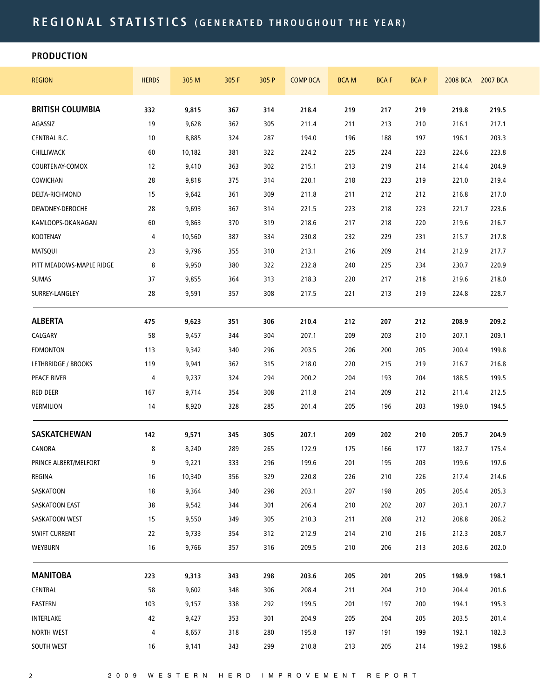### **PRODUCTION**

| <b>REGION</b>              | <b>HERDS</b> | 305 M  | 305 F | 305 P | <b>COMP BCA</b> | <b>BCAM</b> | <b>BCAF</b> | <b>BCAP</b> | 2008 BCA | 2007 BCA |
|----------------------------|--------------|--------|-------|-------|-----------------|-------------|-------------|-------------|----------|----------|
| <b>BRITISH COLUMBIA</b>    | 332          | 9,815  | 367   | 314   | 218.4           | 219         | 217         | 219         | 219.8    | 219.5    |
| AGASSIZ                    | 19           | 9,628  | 362   | 305   | 211.4           | 211         | 213         | 210         | 216.1    | 217.1    |
| CENTRAL B.C.               | 10           | 8,885  | 324   | 287   | 194.0           | 196         | 188         | 197         | 196.1    | 203.3    |
| CHILLIWACK                 | 60           | 10,182 | 381   | 322   | 224.2           | 225         | 224         | 223         | 224.6    | 223.8    |
| COURTENAY-COMOX            | 12           | 9,410  | 363   | 302   | 215.1           | 213         | 219         | 214         | 214.4    | 204.9    |
| COWICHAN                   | 28           | 9,818  | 375   | 314   | 220.1           | 218         | 223         | 219         | 221.0    | 219.4    |
| DELTA-RICHMOND             | 15           | 9,642  | 361   | 309   | 211.8           | 211         | 212         | 212         | 216.8    | 217.0    |
| DEWDNEY-DEROCHE            | 28           | 9,693  | 367   | 314   | 221.5           | 223         | 218         | 223         | 221.7    | 223.6    |
| KAMLOOPS-OKANAGAN          | 60           | 9,863  | 370   | 319   | 218.6           | 217         | 218         | 220         | 219.6    | 216.7    |
| KOOTENAY                   | 4            | 10,560 | 387   | 334   | 230.8           | 232         | 229         | 231         | 215.7    | 217.8    |
| <b>MATSQUI</b>             | 23           | 9,796  | 355   | 310   | 213.1           | 216         | 209         | 214         | 212.9    | 217.7    |
| PITT MEADOWS-MAPLE RIDGE   | 8            | 9,950  | 380   | 322   | 232.8           | 240         | 225         | 234         | 230.7    | 220.9    |
| SUMAS                      | 37           | 9,855  | 364   | 313   | 218.3           | 220         | 217         | 218         | 219.6    | 218.0    |
| SURREY-LANGLEY             | 28           | 9,591  | 357   | 308   | 217.5           | 221         | 213         | 219         | 224.8    | 228.7    |
| <b>ALBERTA</b>             | 475          | 9,623  | 351   | 306   | 210.4           | 212         | 207         | 212         | 208.9    | 209.2    |
| CALGARY                    | 58           | 9,457  | 344   | 304   | 207.1           | 209         | 203         | 210         | 207.1    | 209.1    |
| EDMONTON                   | 113          | 9,342  | 340   | 296   | 203.5           | 206         | 200         | 205         | 200.4    | 199.8    |
| <b>LETHBRIDGE / BROOKS</b> | 119          | 9,941  | 362   | 315   | 218.0           | 220         | 215         | 219         | 216.7    | 216.8    |
| <b>PEACE RIVER</b>         | 4            | 9,237  | 324   | 294   | 200.2           | 204         | 193         | 204         | 188.5    | 199.5    |
| <b>RED DEER</b>            | 167          | 9,714  | 354   | 308   | 211.8           | 214         | 209         | 212         | 211.4    | 212.5    |
| VERMILION                  | 14           | 8,920  | 328   | 285   | 201.4           | 205         | 196         | 203         | 199.0    | 194.5    |
| <b>SASKATCHEWAN</b>        | 142          | 9,571  | 345   | 305   | 207.1           | 209         | 202         | 210         | 205.7    | 204.9    |
| CANORA                     | 8            | 8,240  | 289   | 265   | 172.9           | 175         | 166         | 177         | 182.7    | 175.4    |
| PRINCE ALBERT/MELFORT      | 9            | 9,221  | 333   | 296   | 199.6           | 201         | 195         | 203         | 199.6    | 197.6    |
| REGINA                     | 16           | 10,340 | 356   | 329   | 220.8           | 226         | 210         | 226         | 217.4    | 214.6    |
| SASKATOON                  | 18           | 9,364  | 340   | 298   | 203.1           | 207         | 198         | 205         | 205.4    | 205.3    |
| SASKATOON EAST             | 38           | 9,542  | 344   | 301   | 206.4           | 210         | 202         | 207         | 203.1    | 207.7    |
| SASKATOON WEST             | 15           | 9,550  | 349   | 305   | 210.3           | 211         | 208         | 212         | 208.8    | 206.2    |
| <b>SWIFT CURRENT</b>       | 22           | 9,733  | 354   | 312   | 212.9           | 214         | 210         | 216         | 212.3    | 208.7    |
| <b>WEYBURN</b>             | 16           | 9,766  | 357   | 316   | 209.5           | 210         | 206         | 213         | 203.6    | 202.0    |
| <b>MANITOBA</b>            | 223          | 9,313  | 343   | 298   | 203.6           | 205         | 201         | 205         | 198.9    | 198.1    |
| CENTRAL                    | 58           | 9,602  | 348   | 306   | 208.4           | 211         | 204         | 210         | 204.4    | 201.6    |
| EASTERN                    | 103          | 9,157  | 338   | 292   | 199.5           | 201         | 197         | 200         | 194.1    | 195.3    |
| INTERLAKE                  | 42           | 9,427  | 353   | 301   | 204.9           | 205         | 204         | 205         | 203.5    | 201.4    |
| <b>NORTH WEST</b>          | 4            | 8,657  | 318   | 280   | 195.8           | 197         | 191         | 199         | 192.1    | 182.3    |
| SOUTH WEST                 | 16           | 9,141  | 343   | 299   | 210.8           | 213         | 205         | 214         | 199.2    | 198.6    |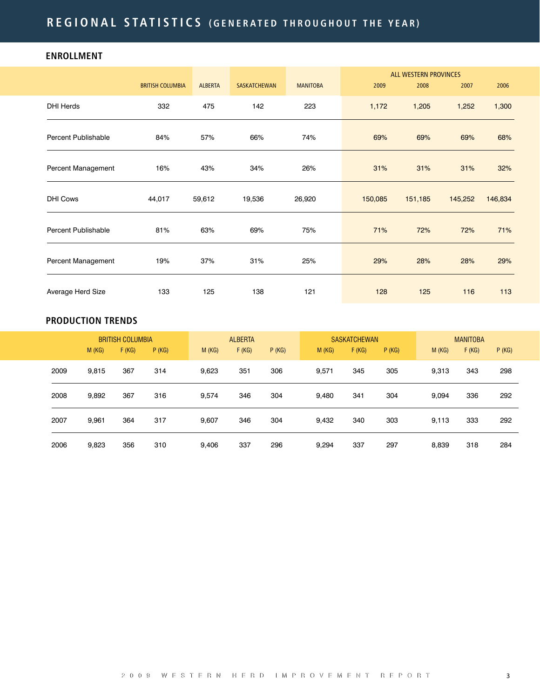## **ENROLLMENT**

|                     |                         |                |                     |                 |         | <b>ALL WESTERN PROVINCES</b> |         |         |
|---------------------|-------------------------|----------------|---------------------|-----------------|---------|------------------------------|---------|---------|
|                     | <b>BRITISH COLUMBIA</b> | <b>ALBERTA</b> | <b>SASKATCHEWAN</b> | <b>MANITOBA</b> | 2009    | 2008                         | 2007    | 2006    |
| <b>DHI Herds</b>    | 332                     | 475            | 142                 | 223             | 1,172   | 1,205                        | 1,252   | 1,300   |
| Percent Publishable | 84%                     | 57%            | 66%                 | 74%             | 69%     | 69%                          | 69%     | 68%     |
| Percent Management  | 16%                     | 43%            | 34%                 | 26%             | 31%     | 31%                          | 31%     | 32%     |
| <b>DHI Cows</b>     | 44,017                  | 59,612         | 19,536              | 26,920          | 150,085 | 151,185                      | 145,252 | 146,834 |
| Percent Publishable | 81%                     | 63%            | 69%                 | 75%             | 71%     | 72%                          | 72%     | 71%     |
| Percent Management  | 19%                     | 37%            | 31%                 | 25%             | 29%     | 28%                          | 28%     | 29%     |
| Average Herd Size   | 133                     | 125            | 138                 | 121             | 128     | 125                          | 116     | 113     |

## **PRODUCTION TRENDS**

|      |       | <b>BRITISH COLUMBIA</b> |       |       | <b>ALBERTA</b> |       |       | <b>SASKATCHEWAN</b> |       |       | <b>MANITOBA</b> |       |
|------|-------|-------------------------|-------|-------|----------------|-------|-------|---------------------|-------|-------|-----------------|-------|
|      | M(KG) | F(KG)                   | P(KG) | M(KG) | F(KG)          | P(KG) | M(KG) | F(KG)               | P(KG) | M(KG) | F(KG)           | P(KG) |
| 2009 | 9.815 | 367                     | 314   | 9,623 | 351            | 306   | 9,571 | 345                 | 305   | 9,313 | 343             | 298   |
| 2008 | 9,892 | 367                     | 316   | 9,574 | 346            | 304   | 9,480 | 341                 | 304   | 9.094 | 336             | 292   |
| 2007 | 9,961 | 364                     | 317   | 9,607 | 346            | 304   | 9,432 | 340                 | 303   | 9,113 | 333             | 292   |
| 2006 | 9,823 | 356                     | 310   | 9.406 | 337            | 296   | 9,294 | 337                 | 297   | 8.839 | 318             | 284   |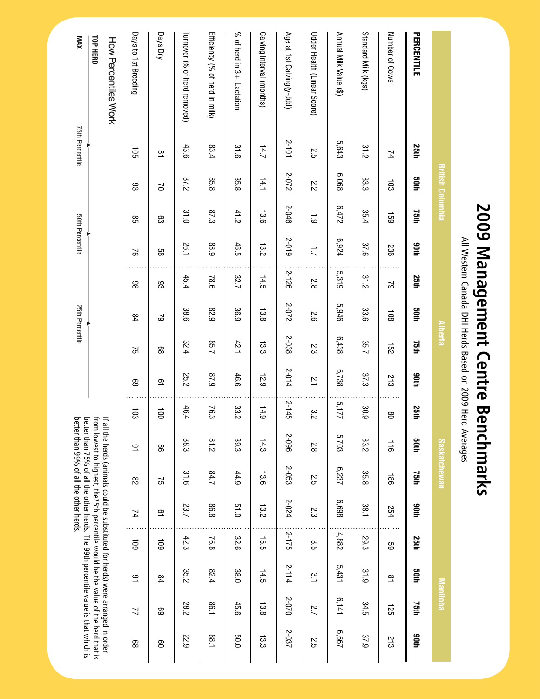| <b>25th</b> | adh             | 75th          | anth                    | 25th          | <b>Soth</b>     | 75th  | 90th                              | 25th           | <b>Soth</b>    | 75th                                            | 90th                | 25th   | adh                     | 75th           | agth                                                                                                                                                                                                                                                                                                                           |
|-------------|-----------------|---------------|-------------------------|---------------|-----------------|-------|-----------------------------------|----------------|----------------|-------------------------------------------------|---------------------|--------|-------------------------|----------------|--------------------------------------------------------------------------------------------------------------------------------------------------------------------------------------------------------------------------------------------------------------------------------------------------------------------------------|
| 74          | $\overline{5}$  | <b>159</b>    | 236                     | 2             | $\frac{108}{2}$ | 152   | 213                               | 80             | $\frac{1}{10}$ | $\frac{180}{2}$                                 | 254                 | 6G     | $\overline{\mathbf{s}}$ | 125            | 213                                                                                                                                                                                                                                                                                                                            |
| 31.2        | 33.3            | 35.4          | 37.6                    | 31.2          | 33.6            | 35.7  | 37.3                              | 30.9           | 33.2           | 35.8                                            | 188                 | 29.3   | 31.9                    | 34.5           | 37.9                                                                                                                                                                                                                                                                                                                           |
| 5,643       | 890'9           | 6,472         | 6,924                   | 5,319         | 5,946           | 6,438 | 6,738                             | 5,177          | 5,703          | 6,237                                           | 869'9               | 4,882  | 5,431                   | 6,141          | 299'9                                                                                                                                                                                                                                                                                                                          |
| 25          | 2.2             | $\frac{1}{6}$ | $\overline{L}$          | $\frac{2}{8}$ | 5.6             | 23    | $\frac{1}{2}$                     | 3.2            | $\frac{2}{8}$  | 55                                              | ς                   | ς<br>Ω | $\frac{1}{2}$           | 2.7            | 2.5                                                                                                                                                                                                                                                                                                                            |
| 2-101       | 2-072           | 2-046         | 2-019                   | 2-126         | 2-072           | 2-038 | 2-014                             | $2 - 145$      | 5-096          | 2-053                                           | 2-024               | 2-175  | $2 - 114$               | 2-070          | 2-037                                                                                                                                                                                                                                                                                                                          |
| 14.7        | 14.1            | 13.6          | 13.2                    | 14.5          | 13.8            | 13.3  | 12.9                              | 14.9           | 14.3           | 13.6                                            | 13.2                | 15.5   | 14.5                    | 13.8           | 13.3                                                                                                                                                                                                                                                                                                                           |
| 31.6        | 35.8            | 41.2          | 46.5                    | 32.7          | 36.9            | 42.1  | 46.6                              | 33.2           | 39.3           | 44.9                                            | 0.15                | 32.6   | 38.0                    | 45.6           | <b>50.0</b>                                                                                                                                                                                                                                                                                                                    |
| 83.4        | 85.8            | 87.3          | 88.9                    | 78.6          | 82.9            | 7.58  | 6'28                              | 76.3           | 81.2           | 7.78                                            | 86.8                | 76.8   | 82.4                    | 1.98           | 1.88                                                                                                                                                                                                                                                                                                                           |
| 43.6        | 37.2            | 31.0          | 26.1                    | 45.4          | 38.6            | 32.4  | 25.2                              | 46.4           | 38.3           | 31.6                                            | 23.7                | 42.3   | 35.2                    | 282            | <b>22.9</b>                                                                                                                                                                                                                                                                                                                    |
| $\tilde{a}$ | $\geq$          | සි            | 88                      | 83            | 2               | 8     | $\overline{a}$                    | $\overline{5}$ | 8              | 57                                              | $\overline{a}$      | 109    | 84                      | සි             | g                                                                                                                                                                                                                                                                                                                              |
| 105         | 83              | 85            | $\approx$               | 86            | 84              | 51    | ශ                                 | 103            | ٩              | $\overline{\mathrm{8}}$                         | $\overline{14}$     | 501    | ٩                       | $\overline{2}$ | 88                                                                                                                                                                                                                                                                                                                             |
|             |                 |               |                         |               |                 |       |                                   |                |                |                                                 |                     |        |                         |                |                                                                                                                                                                                                                                                                                                                                |
|             |                 |               |                         |               |                 |       |                                   |                |                |                                                 |                     |        |                         |                |                                                                                                                                                                                                                                                                                                                                |
|             | 75th Percentile |               | <b>British Columbia</b> |               | 50th Percentile |       | 25th Percentile<br><b>Alberta</b> |                |                | All Western Canada DHI Herds Based on 2009 Herd | <b>Saskatchewan</b> |        |                         |                | from lowest to highest, the75th percentile would be the value of the herd that is<br>better than 75% of all the other herds. The 99th percentile value is that which is<br>better than 99% of all the other herds.<br>If all the herds (animals could be substituted for herds) were arranged in order<br>Averages<br>Manitoba |

# **2009 Management Centre Benchmarks**

Based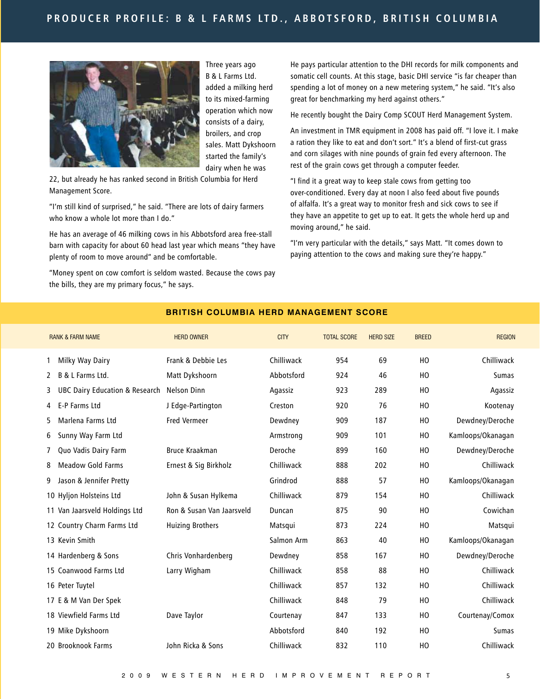

Three years ago B & L Farms Ltd. added a milking herd to its mixed-farming operation which now consists of a dairy, broilers, and crop sales. Matt Dykshoorn started the family's dairy when he was

22, but already he has ranked second in British Columbia for Herd Management Score.

"I'm still kind of surprised," he said. "There are lots of dairy farmers who know a whole lot more than I do."

He has an average of 46 milking cows in his Abbotsford area free-stall barn with capacity for about 60 head last year which means "they have plenty of room to move around" and be comfortable.

"Money spent on cow comfort is seldom wasted. Because the cows pay the bills, they are my primary focus," he says.

He pays particular attention to the DHI records for milk components and somatic cell counts. At this stage, basic DHI service "is far cheaper than spending a lot of money on a new metering system," he said. "It's also great for benchmarking my herd against others."

He recently bought the Dairy Comp SCOUT Herd Management System.

An investment in TMR equipment in 2008 has paid off. "I love it. I make a ration they like to eat and don't sort." It's a blend of first-cut grass and corn silages with nine pounds of grain fed every afternoon. The rest of the grain cows get through a computer feeder.

"I find it a great way to keep stale cows from getting too over-conditioned. Every day at noon I also feed about five pounds of alfalfa. It's a great way to monitor fresh and sick cows to see if they have an appetite to get up to eat. It gets the whole herd up and moving around," he said.

"I'm very particular with the details," says Matt. "It comes down to paying attention to the cows and making sure they're happy."

|                | <b>RANK &amp; FARM NAME</b>               | <b>HERD OWNER</b>         | <b>CITY</b> | <b>TOTAL SCORE</b> | <b>HERD SIZE</b> | <b>BREED</b> | <b>REGION</b>     |
|----------------|-------------------------------------------|---------------------------|-------------|--------------------|------------------|--------------|-------------------|
| 1              | Milky Way Dairy                           | Frank & Debbie Les        | Chilliwack  | 954                | 69               | HO           | Chilliwack        |
| 2              | B & L Farms Ltd.                          | Matt Dykshoorn            | Abbotsford  | 924                | 46               | HO           | Sumas             |
| 3              | <b>UBC Dairy Education &amp; Research</b> | Nelson Dinn               | Agassiz     | 923                | 289              | HO           | Agassiz           |
| 4              | E-P Farms Ltd                             | J Edge-Partington         | Creston     | 920                | 76               | HO           | Kootenay          |
| 5.             | Marlena Farms Ltd                         | <b>Fred Vermeer</b>       | Dewdney     | 909                | 187              | HO           | Dewdney/Deroche   |
| 6              | Sunny Way Farm Ltd                        |                           | Armstrong   | 909                | 101              | HO           | Kamloops/Okanagan |
| $\overline{7}$ | Quo Vadis Dairy Farm                      | <b>Bruce Kraakman</b>     | Deroche     | 899                | 160              | HO           | Dewdney/Deroche   |
| 8              | <b>Meadow Gold Farms</b>                  | Ernest & Sig Birkholz     | Chilliwack  | 888                | 202              | HO           | Chilliwack        |
| 9              | Jason & Jennifer Pretty                   |                           | Grindrod    | 888                | 57               | HO           | Kamloops/Okanagan |
|                | 10 Hyljon Holsteins Ltd                   | John & Susan Hylkema      | Chilliwack  | 879                | 154              | HO           | Chilliwack        |
|                | 11 Van Jaarsveld Holdings Ltd             | Ron & Susan Van Jaarsveld | Duncan      | 875                | 90               | HO           | Cowichan          |
|                | 12 Country Charm Farms Ltd                | <b>Huizing Brothers</b>   | Matsqui     | 873                | 224              | HO           | Matsqui           |
|                | 13 Kevin Smith                            |                           | Salmon Arm  | 863                | 40               | HO           | Kamloops/Okanagan |
|                | 14 Hardenberg & Sons                      | Chris Vonhardenberg       | Dewdney     | 858                | 167              | HO           | Dewdney/Deroche   |
|                | 15 Coanwood Farms Ltd                     | Larry Wigham              | Chilliwack  | 858                | 88               | HO           | Chilliwack        |
|                | 16 Peter Tuytel                           |                           | Chilliwack  | 857                | 132              | HO           | Chilliwack        |
|                | 17 E & M Van Der Spek                     |                           | Chilliwack  | 848                | 79               | HO           | Chilliwack        |
|                | 18 Viewfield Farms Ltd                    | Dave Taylor               | Courtenay   | 847                | 133              | HO           | Courtenay/Comox   |
|                | 19 Mike Dykshoorn                         |                           | Abbotsford  | 840                | 192              | HO           | Sumas             |
|                | 20 Brooknook Farms                        | John Ricka & Sons         | Chilliwack  | 832                | 110              | HO           | Chilliwack        |
|                |                                           |                           |             |                    |                  |              |                   |

#### **BR IT ISH COLUMB IA HERD MANAGEMENT SCORE**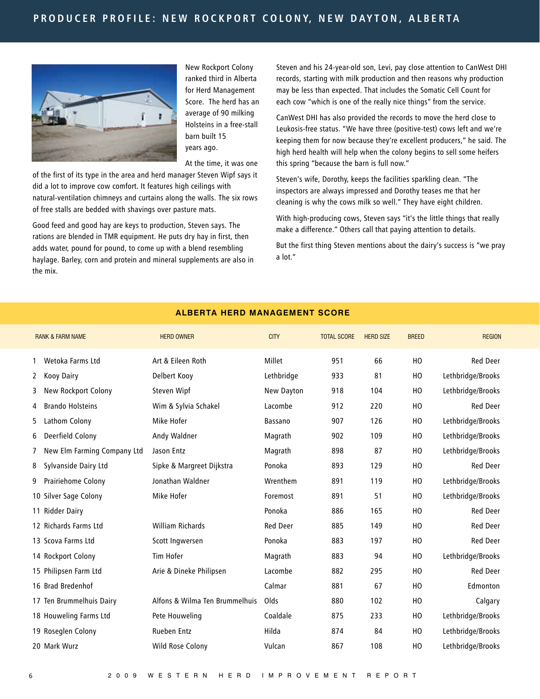

New Rockport Colony ranked third in Alberta for Herd Management Score. The herd has an average of 90 milking Holsteins in a free-stall barn built 15 years ago.

At the time, it was one

of the first of its type in the area and herd manager Steven Wipf says it did a lot to improve cow comfort. It features high ceilings with natural-ventilation chimneys and curtains along the walls. The six rows of free stalls are bedded with shavings over pasture mats.

Good feed and good hay are keys to production, Steven says. The rations are blended in TMR equipment. He puts dry hay in first, then adds water, pound for pound, to come up with a blend resembling haylage. Barley, corn and protein and mineral supplements are also in the mix.

Steven and his 24-year-old son, Levi, pay close attention to CanWest DHI records, starting with milk production and then reasons why production may be less than expected. That includes the Somatic Cell Count for each cow "which is one of the really nice things" from the service.

CanWest DHI has also provided the records to move the herd close to Leukosis-free status. "We have three (positive-test) cows left and we're keeping them for now because they're excellent producers," he said. The high herd health will help when the colony begins to sell some heifers this spring "because the barn is full now."

Steven's wife, Dorothy, keeps the facilities sparkling clean. "The inspectors are always impressed and Dorothy teases me that her cleaning is why the cows milk so well." They have eight children.

With high-producing cows, Steven says "it's the little things that really make a difference." Others call that paying attention to details.

But the first thing Steven mentions about the dairy's success is "we pray a lot."

|    | <b>RANK &amp; FARM NAME</b> | <b>HERD OWNER</b>              | <b>CITY</b> | <b>TOTAL SCORE</b> | <b>HERD SIZE</b> | <b>BREED</b> | <b>REGION</b>     |
|----|-----------------------------|--------------------------------|-------------|--------------------|------------------|--------------|-------------------|
| 1  | Wetoka Farms Ltd            | Art & Eileen Roth              | Millet      | 951                | 66               | HO           | <b>Red Deer</b>   |
| 2  | Kooy Dairy                  | Delbert Kooy                   | Lethbridge  | 933                | 81               | HO           | Lethbridge/Brooks |
| 3  | New Rockport Colony         | Steven Wipf                    | New Dayton  | 918                | 104              | HO           | Lethbridge/Brooks |
| 4  | <b>Brando Holsteins</b>     | Wim & Sylvia Schakel           | Lacombe     | 912                | 220              | HO           | <b>Red Deer</b>   |
| 5. | Lathom Colony               | Mike Hofer                     | Bassano     | 907                | 126              | HO           | Lethbridge/Brooks |
| 6  | Deerfield Colony            | Andy Waldner                   | Magrath     | 902                | 109              | HO           | Lethbridge/Brooks |
| 7  | New Elm Farming Company Ltd | Jason Entz                     | Magrath     | 898                | 87               | HO           | Lethbridge/Brooks |
| 8  | Sylvanside Dairy Ltd        | Sipke & Margreet Dijkstra      | Ponoka      | 893                | 129              | HO           | Red Deer          |
| 9  | Prairiehome Colony          | Jonathan Waldner               | Wrenthem    | 891                | 119              | HO           | Lethbridge/Brooks |
|    | 10 Silver Sage Colony       | Mike Hofer                     | Foremost    | 891                | 51               | HO           | Lethbridge/Brooks |
|    | 11 Ridder Dairy             |                                | Ponoka      | 886                | 165              | HO           | <b>Red Deer</b>   |
|    | 12 Richards Farms Ltd       | <b>William Richards</b>        | Red Deer    | 885                | 149              | HO           | <b>Red Deer</b>   |
|    | 13 Scova Farms Ltd          | Scott Ingwersen                | Ponoka      | 883                | 197              | HO           | <b>Red Deer</b>   |
|    | 14 Rockport Colony          | Tim Hofer                      | Magrath     | 883                | 94               | HO           | Lethbridge/Brooks |
|    | 15 Philipsen Farm Ltd       | Arie & Dineke Philipsen        | Lacombe     | 882                | 295              | HO           | <b>Red Deer</b>   |
|    | 16 Brad Bredenhof           |                                | Calmar      | 881                | 67               | HO           | Edmonton          |
|    | 17 Ten Brummelhuis Dairy    | Alfons & Wilma Ten Brummelhuis | Olds        | 880                | 102              | HO           | Calgary           |
|    | 18 Houweling Farms Ltd      | Pete Houweling                 | Coaldale    | 875                | 233              | HO           | Lethbridge/Brooks |
|    | 19 Roseglen Colony          | <b>Rueben Entz</b>             | Hilda       | 874                | 84               | HO           | Lethbridge/Brooks |
|    | 20 Mark Wurz                | Wild Rose Colony               | Vulcan      | 867                | 108              | HO           | Lethbridge/Brooks |
|    |                             |                                |             |                    |                  |              |                   |

#### **ALBERTA HERD MANAGEMENT SCORE**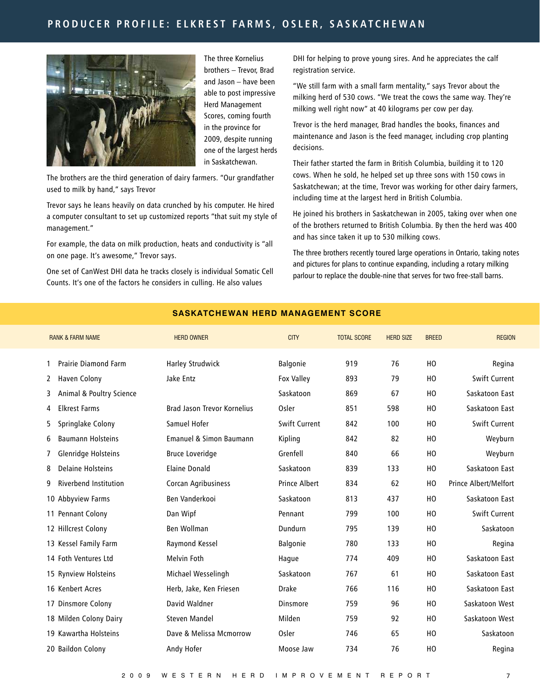## PRODUCER PROFILE: ELKREST FARMS, OSLER, SASKATCHEWAN



The three Kornelius brothers – Trevor, Brad and Jason – have been able to post impressive Herd Management Scores, coming fourth in the province for 2009, despite running one of the largest herds in Saskatchewan.

The brothers are the third generation of dairy farmers. "Our grandfather used to milk by hand," says Trevor

Trevor says he leans heavily on data crunched by his computer. He hired a computer consultant to set up customized reports "that suit my style of management."

For example, the data on milk production, heats and conductivity is "all on one page. It's awesome," Trevor says.

One set of CanWest DHI data he tracks closely is individual Somatic Cell Counts. It's one of the factors he considers in culling. He also values

DHI for helping to prove young sires. And he appreciates the calf registration service.

"We still farm with a small farm mentality," says Trevor about the milking herd of 530 cows. "We treat the cows the same way. They're milking well right now" at 40 kilograms per cow per day.

Trevor is the herd manager, Brad handles the books, finances and maintenance and Jason is the feed manager, including crop planting decisions.

Their father started the farm in British Columbia, building it to 120 cows. When he sold, he helped set up three sons with 150 cows in Saskatchewan; at the time, Trevor was working for other dairy farmers, including time at the largest herd in British Columbia.

He joined his brothers in Saskatchewan in 2005, taking over when one of the brothers returned to British Columbia. By then the herd was 400 and has since taken it up to 530 milking cows.

The three brothers recently toured large operations in Ontario, taking notes and pictures for plans to continue expanding, including a rotary milking parlour to replace the double-nine that serves for two free-stall barns.

| <b>RANK &amp; FARM NAME</b>       | <b>HERD OWNER</b>                  | <b>CITY</b>          | <b>TOTAL SCORE</b> | <b>HERD SIZE</b> | <b>BREED</b> | <b>REGION</b>         |
|-----------------------------------|------------------------------------|----------------------|--------------------|------------------|--------------|-----------------------|
| <b>Prairie Diamond Farm</b>       | <b>Harley Strudwick</b>            | Balgonie             | 919                | 76               | HO           | Regina                |
| Haven Colony<br>2                 | Jake Entz                          | Fox Valley           | 893                | 79               | HO           | <b>Swift Current</b>  |
| Animal & Poultry Science<br>3.    |                                    | Saskatoon            | 869                | 67               | HO           | Saskatoon East        |
| <b>Elkrest Farms</b><br>4         | <b>Brad Jason Trevor Kornelius</b> | Osler                | 851                | 598              | HO           | Saskatoon East        |
| Springlake Colony<br>5.           | Samuel Hofer                       | Swift Current        | 842                | 100              | HO           | <b>Swift Current</b>  |
| <b>Baumann Holsteins</b><br>6     | Emanuel & Simon Baumann            | Kipling              | 842                | 82               | HO           | Weyburn               |
| Glenridge Holsteins<br>7          | <b>Bruce Loveridge</b>             | Grenfell             | 840                | 66               | HO           | Weyburn               |
| <b>Delaine Holsteins</b><br>8     | <b>Elaine Donald</b>               | Saskatoon            | 839                | 133              | HO           | Saskatoon East        |
| <b>Riverbend Institution</b><br>9 | Corcan Agribusiness                | <b>Prince Albert</b> | 834                | 62               | HO           | Prince Albert/Melfort |
| 10 Abbyview Farms                 | Ben Vanderkooi                     | Saskatoon            | 813                | 437              | HO           | Saskatoon East        |
| 11 Pennant Colony                 | Dan Wipf                           | Pennant              | 799                | 100              | HO           | Swift Current         |
| 12 Hillcrest Colony               | Ben Wollman                        | Dundurn              | 795                | 139              | HO           | Saskatoon             |
| 13 Kessel Family Farm             | Raymond Kessel                     | Balgonie             | 780                | 133              | HO           | Regina                |
| 14 Foth Ventures Ltd              | Melvin Foth                        | Hague                | 774                | 409              | HO           | Saskatoon East        |
| 15 Rynview Holsteins              | Michael Wesselingh                 | Saskatoon            | 767                | 61               | HO           | Saskatoon East        |
| 16 Kenbert Acres                  | Herb, Jake, Ken Friesen            | <b>Drake</b>         | 766                | 116              | HO           | Saskatoon East        |
| 17 Dinsmore Colony                | David Waldner                      | Dinsmore             | 759                | 96               | HO           | Saskatoon West        |
| 18 Milden Colony Dairy            | <b>Steven Mandel</b>               | Milden               | 759                | 92               | HO           | Saskatoon West        |
| 19 Kawartha Holsteins             | Dave & Melissa Mcmorrow            | Osler                | 746                | 65               | HO           | Saskatoon             |
| 20 Baildon Colony                 | Andy Hofer                         | Moose Jaw            | 734                | 76               | HO           | Regina                |
|                                   |                                    |                      |                    |                  |              |                       |

#### **SASKATCHEWAN HERD MANAGEMENT SCORE**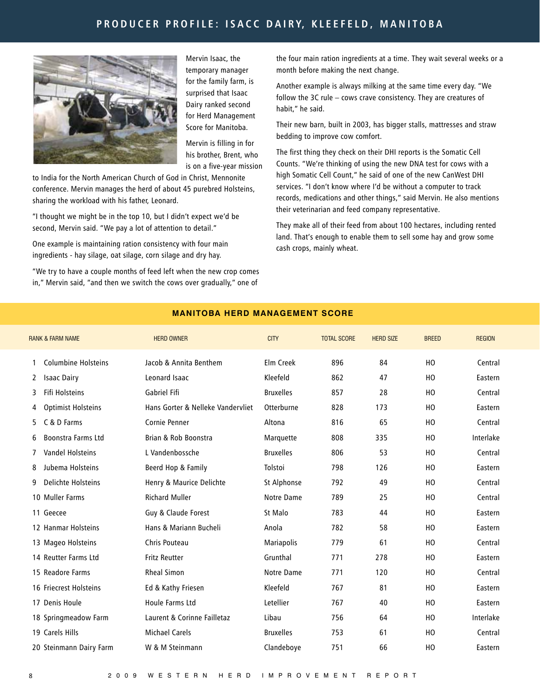## PRODUCER PROFILE: ISACC DAIRY, KLEEFELD, MANITOBA



Mervin Isaac, the temporary manager for the family farm, is surprised that Isaac Dairy ranked second for Herd Management Score for Manitoba.

Mervin is filling in for his brother, Brent, who is on a five-year mission

to India for the North American Church of God in Christ, Mennonite conference. Mervin manages the herd of about 45 purebred Holsteins, sharing the workload with his father, Leonard.

"I thought we might be in the top 10, but I didn't expect we'd be second, Mervin said. "We pay a lot of attention to detail."

One example is maintaining ration consistency with four main ingredients - hay silage, oat silage, corn silage and dry hay.

"We try to have a couple months of feed left when the new crop comes in," Mervin said, "and then we switch the cows over gradually," one of

the four main ration ingredients at a time. They wait several weeks or a month before making the next change.

Another example is always milking at the same time every day. "We follow the 3C rule – cows crave consistency. They are creatures of habit," he said.

Their new barn, built in 2003, has bigger stalls, mattresses and straw bedding to improve cow comfort.

The first thing they check on their DHI reports is the Somatic Cell Counts. "We're thinking of using the new DNA test for cows with a high Somatic Cell Count," he said of one of the new CanWest DHI services. "I don't know where I'd be without a computer to track records, medications and other things," said Mervin. He also mentions their veterinarian and feed company representative.

They make all of their feed from about 100 hectares, including rented land. That's enough to enable them to sell some hay and grow some cash crops, mainly wheat.

|              | <b>RANK &amp; FARM NAME</b> | <b>HERD OWNER</b>                 | <b>CITY</b>       | <b>TOTAL SCORE</b> | <b>HERD SIZE</b> | <b>BREED</b> | <b>REGION</b> |
|--------------|-----------------------------|-----------------------------------|-------------------|--------------------|------------------|--------------|---------------|
| 1            | <b>Columbine Holsteins</b>  | Jacob & Annita Benthem            | Elm Creek         | 896                | 84               | HO           | Central       |
| $\mathbf{2}$ | <b>Isaac Dairy</b>          | Leonard Isaac                     | Kleefeld          | 862                | 47               | HO           | Eastern       |
| 3            | Fifi Holsteins              | Gabriel Fifi                      | <b>Bruxelles</b>  | 857                | 28               | HO           | Central       |
| 4            | <b>Optimist Holsteins</b>   | Hans Gorter & Nelleke Vandervliet | Otterburne        | 828                | 173              | HO           | Eastern       |
| 5            | C & D Farms                 | Cornie Penner                     | Altona            | 816                | 65               | HO           | Central       |
| 6            | Boonstra Farms Ltd          | Brian & Rob Boonstra              | Marquette         | 808                | 335              | HO           | Interlake     |
| 7            | <b>Vandel Holsteins</b>     | L Vandenbossche                   | <b>Bruxelles</b>  | 806                | 53               | HO           | Central       |
| 8            | Jubema Holsteins            | Beerd Hop & Family                | Tolstoi           | 798                | 126              | HO           | Eastern       |
| 9            | Delichte Holsteins          | Henry & Maurice Delichte          | St Alphonse       | 792                | 49               | HO           | Central       |
|              | 10 Muller Farms             | <b>Richard Muller</b>             | Notre Dame        | 789                | 25               | HO           | Central       |
|              | 11 Geecee                   | Guy & Claude Forest               | St Malo           | 783                | 44               | HO           | Eastern       |
|              | 12 Hanmar Holsteins         | Hans & Mariann Bucheli            | Anola             | 782                | 58               | HO           | Eastern       |
|              | 13 Mageo Holsteins          | Chris Pouteau                     | <b>Mariapolis</b> | 779                | 61               | HO           | Central       |
|              | 14 Reutter Farms Ltd        | <b>Fritz Reutter</b>              | Grunthal          | 771                | 278              | HO           | Eastern       |
|              | 15 Readore Farms            | <b>Rheal Simon</b>                | Notre Dame        | 771                | 120              | HO           | Central       |
|              | 16 Friecrest Holsteins      | Ed & Kathy Friesen                | Kleefeld          | 767                | 81               | HO           | Eastern       |
|              | 17 Denis Houle              | Houle Farms Ltd                   | Letellier         | 767                | 40               | HO           | Eastern       |
|              | 18 Springmeadow Farm        | Laurent & Corinne Failletaz       | Libau             | 756                | 64               | HO           | Interlake     |
|              | 19 Carels Hills             | <b>Michael Carels</b>             | <b>Bruxelles</b>  | 753                | 61               | HO           | Central       |
|              | 20 Steinmann Dairy Farm     | W & M Steinmann                   | Clandeboye        | 751                | 66               | HO           | Eastern       |
|              |                             |                                   |                   |                    |                  |              |               |

#### **MAN ITOBA HERD MANAGEMENT SCORE**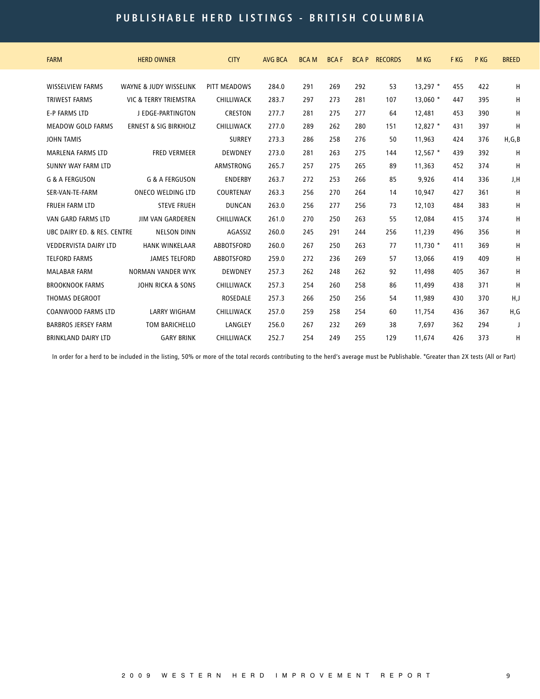# **p u bli s h abl e h e r d li s tin g s - B R I T I SH C O L U M B I A**

| <b>FARM</b>                  | <b>HERD OWNER</b>                | <b>CITY</b>       | <b>AVG BCA</b> | <b>BCAM</b> | <b>BCAF</b> | <b>BCAP</b> | <b>RECORDS</b> | M KG       | F KG | P KG | <b>BREED</b> |
|------------------------------|----------------------------------|-------------------|----------------|-------------|-------------|-------------|----------------|------------|------|------|--------------|
| <b>WISSELVIEW FARMS</b>      | WAYNE & JUDY WISSELINK           | PITT MEADOWS      | 284.0          | 291         | 269         | 292         | 53             | $13,297$ * | 455  | 422  | H            |
| <b>TRIWEST FARMS</b>         | VIC & TERRY TRIEMSTRA            | CHILLIWACK        | 283.7          | 297         | 273         | 281         | 107            | $13.060*$  | 447  | 395  | H            |
| <b>E-P FARMS LTD</b>         | J EDGE-PARTINGTON                | <b>CRESTON</b>    | 277.7          | 281         | 275         | 277         | 64             | 12,481     | 453  | 390  | H            |
| <b>MEADOW GOLD FARMS</b>     | <b>ERNEST &amp; SIG BIRKHOLZ</b> | CHILLIWACK        | 277.0          | 289         | 262         | 280         | 151            | $12,827$ * | 431  | 397  | H            |
| <b>JOHN TAMIS</b>            |                                  | <b>SURREY</b>     | 273.3          | 286         | 258         | 276         | 50             | 11,963     | 424  | 376  | H, G, B      |
| <b>MARLENA FARMS LTD</b>     | <b>FRED VERMEER</b>              | <b>DEWDNEY</b>    | 273.0          | 281         | 263         | 275         | 144            | $12.567$ * | 439  | 392  | H            |
| SUNNY WAY FARM LTD           |                                  | <b>ARMSTRONG</b>  | 265.7          | 257         | 275         | 265         | 89             | 11,363     | 452  | 374  | H            |
| <b>G &amp; A FERGUSON</b>    | <b>G &amp; A FERGUSON</b>        | <b>ENDERBY</b>    | 263.7          | 272         | 253         | 266         | 85             | 9,926      | 414  | 336  | J,H          |
| SER-VAN-TE-FARM              | ONECO WELDING LTD                | COURTENAY         | 263.3          | 256         | 270         | 264         | 14             | 10.947     | 427  | 361  | H            |
| <b>FRUEH FARM LTD</b>        | <b>STEVE FRUEH</b>               | <b>DUNCAN</b>     | 263.0          | 256         | 277         | 256         | 73             | 12,103     | 484  | 383  | н            |
| VAN GARD FARMS LTD           | <b>JIM VAN GARDEREN</b>          | CHILLIWACK        | 261.0          | 270         | 250         | 263         | 55             | 12,084     | 415  | 374  | Н            |
| UBC DAIRY ED. & RES. CENTRE  | <b>NELSON DINN</b>               | AGASSIZ           | 260.0          | 245         | 291         | 244         | 256            | 11,239     | 496  | 356  | н            |
| <b>VEDDERVISTA DAIRY LTD</b> | <b>HANK WINKELAAR</b>            | <b>ABBOTSFORD</b> | 260.0          | 267         | 250         | 263         | 77             | $11,730$ * | 411  | 369  | н            |
| <b>TELFORD FARMS</b>         | <b>JAMES TELFORD</b>             | <b>ABBOTSFORD</b> | 259.0          | 272         | 236         | 269         | 57             | 13,066     | 419  | 409  | н            |
| <b>MALABAR FARM</b>          | <b>NORMAN VANDER WYK</b>         | <b>DEWDNEY</b>    | 257.3          | 262         | 248         | 262         | 92             | 11,498     | 405  | 367  | н            |
| <b>BROOKNOOK FARMS</b>       | <b>JOHN RICKA &amp; SONS</b>     | CHILLIWACK        | 257.3          | 254         | 260         | 258         | 86             | 11,499     | 438  | 371  | H            |
| <b>THOMAS DEGROOT</b>        |                                  | <b>ROSEDALE</b>   | 257.3          | 266         | 250         | 256         | 54             | 11,989     | 430  | 370  | H,J          |
| <b>COANWOOD FARMS LTD</b>    | <b>LARRY WIGHAM</b>              | CHILLIWACK        | 257.0          | 259         | 258         | 254         | 60             | 11,754     | 436  | 367  | H,G          |
| <b>BARBROS JERSEY FARM</b>   | <b>TOM BARICHELLO</b>            | LANGLEY           | 256.0          | 267         | 232         | 269         | 38             | 7,697      | 362  | 294  | J            |
| <b>BRINKLAND DAIRY LTD</b>   | <b>GARY BRINK</b>                | CHILLIWACK        | 252.7          | 254         | 249         | 255         | 129            | 11.674     | 426  | 373  | H            |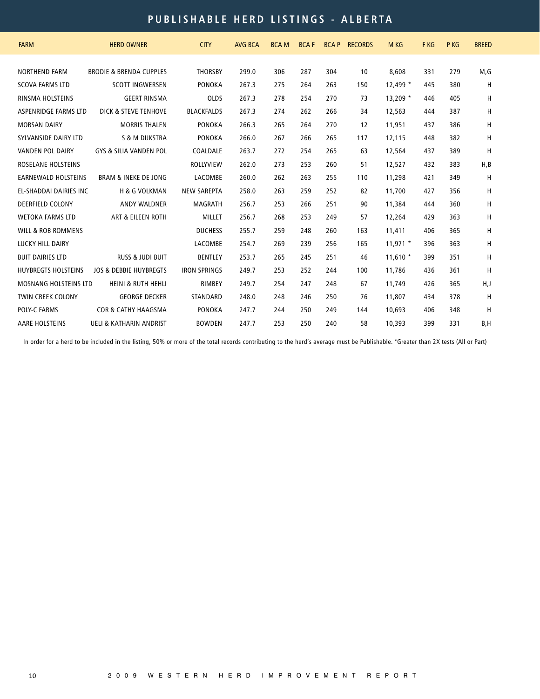# **p u bli s h abl e h e r d li s tin g s - A L B ER T A**

| <b>FARM</b>                   | <b>HERD OWNER</b>                  | <b>CITY</b>         | <b>AVG BCA</b> | <b>BCAM</b> | <b>BCAF</b> | <b>BCAP</b> | <b>RECORDS</b> | <b>M KG</b> | F KG | P KG | <b>BREED</b> |
|-------------------------------|------------------------------------|---------------------|----------------|-------------|-------------|-------------|----------------|-------------|------|------|--------------|
|                               |                                    |                     |                |             |             |             |                |             |      |      |              |
| <b>NORTHEND FARM</b>          | <b>BRODIE &amp; BRENDA CUPPLES</b> | <b>THORSBY</b>      | 299.0          | 306         | 287         | 304         | 10             | 8,608       | 331  | 279  | M,G          |
| <b>SCOVA FARMS LTD</b>        | <b>SCOTT INGWERSEN</b>             | <b>PONOKA</b>       | 267.3          | 275         | 264         | 263         | 150            | $12,499*$   | 445  | 380  | H            |
| <b>RINSMA HOLSTEINS</b>       | <b>GEERT RINSMA</b>                | <b>OLDS</b>         | 267.3          | 278         | 254         | 270         | 73             | $13,209$ *  | 446  | 405  | H            |
| ASPENRIDGE FARMS LTD          | DICK & STEVE TENHOVE               | <b>BLACKFALDS</b>   | 267.3          | 274         | 262         | 266         | 34             | 12,563      | 444  | 387  | Н            |
| <b>MORSAN DAIRY</b>           | <b>MORRIS THALEN</b>               | <b>PONOKA</b>       | 266.3          | 265         | 264         | 270         | 12             | 11,951      | 437  | 386  | Н            |
| SYLVANSIDE DAIRY LTD          | <b>S &amp; M DIJKSTRA</b>          | <b>PONOKA</b>       | 266.0          | 267         | 266         | 265         | 117            | 12,115      | 448  | 382  | Н            |
| <b>VANDEN POL DAIRY</b>       | <b>GYS &amp; SILIA VANDEN POL</b>  | COALDALE            | 263.7          | 272         | 254         | 265         | 63             | 12,564      | 437  | 389  | H            |
| ROSELANE HOLSTEINS            |                                    | <b>ROLLYVIEW</b>    | 262.0          | 273         | 253         | 260         | 51             | 12,527      | 432  | 383  | H, B         |
| <b>EARNEWALD HOLSTEINS</b>    | <b>BRAM &amp; INEKE DE JONG</b>    | LACOMBE             | 260.0          | 262         | 263         | 255         | 110            | 11,298      | 421  | 349  | Н            |
| EL-SHADDAI DAIRIES INC        | <b>H &amp; G VOLKMAN</b>           | <b>NEW SAREPTA</b>  | 258.0          | 263         | 259         | 252         | 82             | 11,700      | 427  | 356  | Η            |
| DEERFIELD COLONY              | <b>ANDY WALDNER</b>                | MAGRATH             | 256.7          | 253         | 266         | 251         | 90             | 11,384      | 444  | 360  | Н            |
| <b>WETOKA FARMS LTD</b>       | <b>ART &amp; EILEEN ROTH</b>       | <b>MILLET</b>       | 256.7          | 268         | 253         | 249         | 57             | 12,264      | 429  | 363  | H            |
| <b>WILL &amp; ROB ROMMENS</b> |                                    | <b>DUCHESS</b>      | 255.7          | 259         | 248         | 260         | 163            | 11,411      | 406  | 365  | Н            |
| LUCKY HILL DAIRY              |                                    | LACOMBE             | 254.7          | 269         | 239         | 256         | 165            | $11,971$ *  | 396  | 363  | H            |
| <b>BUIT DAIRIES LTD</b>       | <b>RUSS &amp; JUDI BUIT</b>        | <b>BENTLEY</b>      | 253.7          | 265         | 245         | 251         | 46             | $11.610*$   | 399  | 351  | H            |
| <b>HUYBREGTS HOLSTEINS</b>    | <b>JOS &amp; DEBBIE HUYBREGTS</b>  | <b>IRON SPRINGS</b> | 249.7          | 253         | 252         | 244         | 100            | 11,786      | 436  | 361  | H            |
| <b>MOSNANG HOLSTEINS LTD</b>  | <b>HEINI &amp; RUTH HEHLI</b>      | RIMBEY              | 249.7          | 254         | 247         | 248         | 67             | 11,749      | 426  | 365  | H,J          |
| <b>TWIN CREEK COLONY</b>      | <b>GEORGE DECKER</b>               | STANDARD            | 248.0          | 248         | 246         | 250         | 76             | 11,807      | 434  | 378  | H            |
| <b>POLY-C FARMS</b>           | <b>COR &amp; CATHY HAAGSMA</b>     | <b>PONOKA</b>       | 247.7          | 244         | 250         | 249         | 144            | 10,693      | 406  | 348  | H            |
| <b>AARE HOLSTEINS</b>         | <b>UELI &amp; KATHARIN ANDRIST</b> | <b>BOWDEN</b>       | 247.7          | 253         | 250         | 240         | 58             | 10,393      | 399  | 331  | B, H         |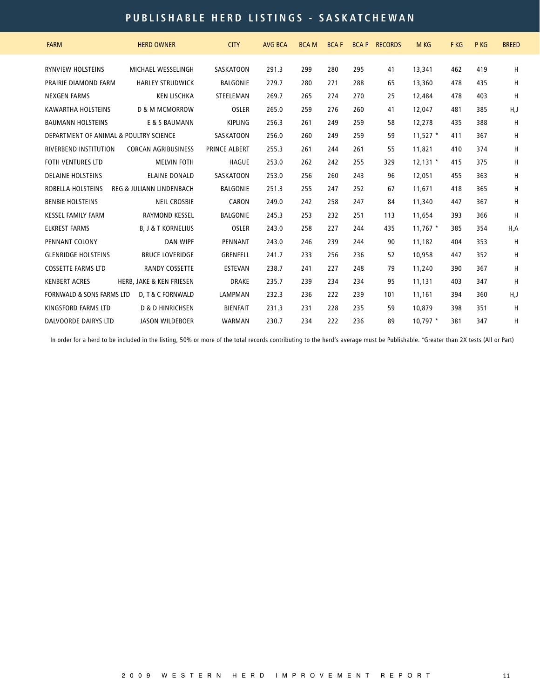## **p u bli s h abl e h e r d li s tin g s - S A S K A T C HE W A N**

| <b>FARM</b>                            | <b>HERD OWNER</b>                   | <b>CITY</b>      | <b>AVG BCA</b> | <b>BCAM</b> | <b>BCAF</b> | <b>BCAP</b> | <b>RECORDS</b> | M KG       | F KG | P KG | <b>BREED</b> |
|----------------------------------------|-------------------------------------|------------------|----------------|-------------|-------------|-------------|----------------|------------|------|------|--------------|
| <b>RYNVIEW HOLSTEINS</b>               | MICHAEL WESSELINGH                  | <b>SASKATOON</b> | 291.3          | 299         | 280         | 295         | 41             | 13,341     | 462  | 419  | H            |
| PRAIRIE DIAMOND FARM                   | <b>HARLEY STRUDWICK</b>             | <b>BALGONIE</b>  | 279.7          | 280         | 271         | 288         | 65             | 13,360     | 478  | 435  | н            |
| <b>NEXGEN FARMS</b>                    | <b>KEN LISCHKA</b>                  | STEELEMAN        | 269.7          | 265         | 274         | 270         | 25             | 12,484     | 478  | 403  | H            |
| <b>KAWARTHA HOLSTEINS</b>              | <b>D &amp; M MCMORROW</b>           | <b>OSLER</b>     | 265.0          | 259         | 276         | 260         | 41             | 12,047     | 481  | 385  | H,J          |
| <b>BAUMANN HOLSTEINS</b>               | E & S BAUMANN                       | <b>KIPLING</b>   | 256.3          | 261         | 249         | 259         | 58             | 12,278     | 435  | 388  | Н            |
| DEPARTMENT OF ANIMAL & POULTRY SCIENCE |                                     | SASKATOON        | 256.0          | 260         | 249         | 259         | 59             | $11,527$ * | 411  | 367  | Н            |
| <b>RIVERBEND INSTITUTION</b>           | <b>CORCAN AGRIBUSINESS</b>          | PRINCE ALBERT    | 255.3          | 261         | 244         | 261         | 55             | 11,821     | 410  | 374  | н            |
| <b>FOTH VENTURES LTD</b>               | <b>MELVIN FOTH</b>                  | <b>HAGUE</b>     | 253.0          | 262         | 242         | 255         | 329            | $12,131$ * | 415  | 375  | H            |
| <b>DELAINE HOLSTEINS</b>               | <b>ELAINE DONALD</b>                | <b>SASKATOON</b> | 253.0          | 256         | 260         | 243         | 96             | 12,051     | 455  | 363  | H            |
| ROBELLA HOLSTEINS                      | <b>REG &amp; JULIANN LINDENBACH</b> | <b>BALGONIE</b>  | 251.3          | 255         | 247         | 252         | 67             | 11,671     | 418  | 365  | н            |
| <b>BENBIE HOLSTEINS</b>                | <b>NEIL CROSBIE</b>                 | CARON            | 249.0          | 242         | 258         | 247         | 84             | 11,340     | 447  | 367  | Н            |
| <b>KESSEL FAMILY FARM</b>              | <b>RAYMOND KESSEL</b>               | <b>BALGONIE</b>  | 245.3          | 253         | 232         | 251         | 113            | 11,654     | 393  | 366  | Н            |
| <b>ELKREST FARMS</b>                   | <b>B. J &amp; T KORNELIUS</b>       | <b>OSLER</b>     | 243.0          | 258         | 227         | 244         | 435            | $11,767$ * | 385  | 354  | H, A         |
| PENNANT COLONY                         | <b>DAN WIPF</b>                     | PENNANT          | 243.0          | 246         | 239         | 244         | 90             | 11,182     | 404  | 353  | н            |
| <b>GLENRIDGE HOLSTEINS</b>             | <b>BRUCE LOVERIDGE</b>              | <b>GRENFELL</b>  | 241.7          | 233         | 256         | 236         | 52             | 10,958     | 447  | 352  | н            |
| <b>COSSETTE FARMS LTD</b>              | <b>RANDY COSSETTE</b>               | <b>ESTEVAN</b>   | 238.7          | 241         | 227         | 248         | 79             | 11,240     | 390  | 367  | H            |
| <b>KENBERT ACRES</b>                   | <b>HERB. JAKE &amp; KEN FRIESEN</b> | <b>DRAKE</b>     | 235.7          | 239         | 234         | 234         | 95             | 11.131     | 403  | 347  | H            |
| <b>FORNWALD &amp; SONS FARMS LTD</b>   | D. T & C FORNWALD                   | <b>LAMPMAN</b>   | 232.3          | 236         | 222         | 239         | 101            | 11.161     | 394  | 360  | H,J          |
| <b>KINGSFORD FARMS LTD</b>             | <b>D &amp; D HINRICHSEN</b>         | <b>BIENFAIT</b>  | 231.3          | 231         | 228         | 235         | 59             | 10,879     | 398  | 351  | Н            |
| <b>DALVOORDE DAIRYS LTD</b>            | <b>JASON WILDEBOER</b>              | <b>WARMAN</b>    | 230.7          | 234         | 222         | 236         | 89             | $10.797*$  | 381  | 347  | н            |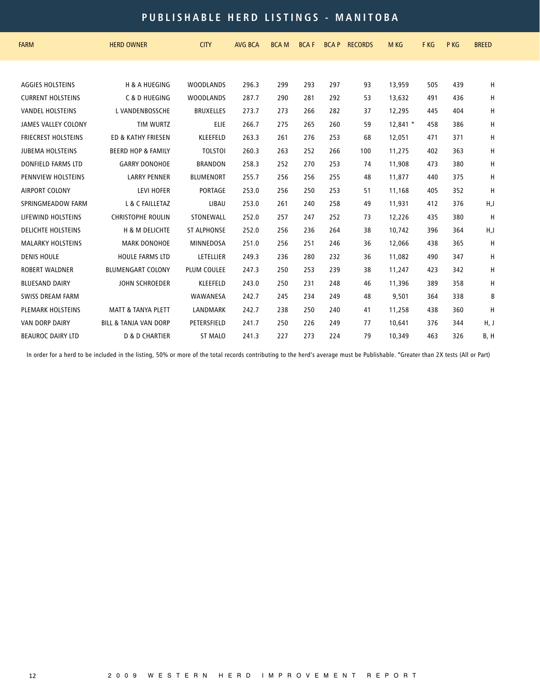## **p u bli s h abl e h e r d li s tin g s - M A N I T O B A**

| <b>FARM</b>                | <b>HERD OWNER</b>                | <b>CITY</b>        | <b>AVG BCA</b> | <b>BCAM</b> | <b>BCAF</b> | <b>BCAP</b> | <b>RECORDS</b> | M KG       | F KG | P KG | <b>BREED</b> |
|----------------------------|----------------------------------|--------------------|----------------|-------------|-------------|-------------|----------------|------------|------|------|--------------|
|                            |                                  |                    |                |             |             |             |                |            |      |      |              |
| <b>AGGIES HOLSTEINS</b>    | <b>H &amp; A HUEGING</b>         | <b>WOODLANDS</b>   | 296.3          | 299         | 293         | 297         | 93             | 13,959     | 505  | 439  | н            |
| <b>CURRENT HOLSTEINS</b>   | C & D HUEGING                    | <b>WOODLANDS</b>   | 287.7          | 290         | 281         | 292         | 53             | 13.632     | 491  | 436  | н            |
| <b>VANDEL HOLSTEINS</b>    | L VANDENBOSSCHE                  | <b>BRUXELLES</b>   | 273.7          | 273         | 266         | 282         | 37             | 12,295     | 445  | 404  | н            |
| <b>JAMES VALLEY COLONY</b> | <b>TIM WURTZ</b>                 | ELIE               | 266.7          | 275         | 265         | 260         | 59             | $12,841$ * | 458  | 386  | Н            |
| <b>FRIECREST HOLSTEINS</b> | ED & KATHY FRIESEN               | <b>KLEEFELD</b>    | 263.3          | 261         | 276         | 253         | 68             | 12,051     | 471  | 371  | н            |
| <b>JUBEMA HOLSTEINS</b>    | <b>BEERD HOP &amp; FAMILY</b>    | <b>TOLSTOI</b>     | 260.3          | 263         | 252         | 266         | 100            | 11,275     | 402  | 363  | н            |
| <b>DONFIELD FARMS LTD</b>  | <b>GARRY DONOHOE</b>             | <b>BRANDON</b>     | 258.3          | 252         | 270         | 253         | 74             | 11,908     | 473  | 380  | н            |
| PENNVIEW HOLSTEINS         | <b>LARRY PENNER</b>              | <b>BLUMENORT</b>   | 255.7          | 256         | 256         | 255         | 48             | 11.877     | 440  | 375  | н            |
| <b>AIRPORT COLONY</b>      | <b>LEVI HOFER</b>                | <b>PORTAGE</b>     | 253.0          | 256         | 250         | 253         | 51             | 11,168     | 405  | 352  | H            |
| SPRINGMEADOW FARM          | L & C FAILLETAZ                  | LIBAU              | 253.0          | 261         | 240         | 258         | 49             | 11,931     | 412  | 376  | H,J          |
| LIFEWIND HOLSTEINS         | <b>CHRISTOPHE ROULIN</b>         | STONEWALL          | 252.0          | 257         | 247         | 252         | 73             | 12,226     | 435  | 380  | Н            |
| <b>DELICHTE HOLSTEINS</b>  | H & M DELICHTE                   | <b>ST ALPHONSE</b> | 252.0          | 256         | 236         | 264         | 38             | 10,742     | 396  | 364  | H,J          |
| <b>MALARKY HOLSTEINS</b>   | <b>MARK DONOHOE</b>              | <b>MINNEDOSA</b>   | 251.0          | 256         | 251         | 246         | 36             | 12,066     | 438  | 365  | H            |
| <b>DENIS HOULE</b>         | <b>HOULE FARMS LTD</b>           | LETELLIER          | 249.3          | 236         | 280         | 232         | 36             | 11,082     | 490  | 347  | н            |
| <b>ROBERT WALDNER</b>      | <b>BLUMENGART COLONY</b>         | <b>PLUM COULEE</b> | 247.3          | 250         | 253         | 239         | 38             | 11,247     | 423  | 342  | Н            |
| <b>BLUESAND DAIRY</b>      | <b>JOHN SCHROEDER</b>            | <b>KLEEFELD</b>    | 243.0          | 250         | 231         | 248         | 46             | 11,396     | 389  | 358  | н            |
| <b>SWISS DREAM FARM</b>    |                                  | WAWANESA           | 242.7          | 245         | 234         | 249         | 48             | 9,501      | 364  | 338  | B            |
| <b>PLEMARK HOLSTEINS</b>   | <b>MATT &amp; TANYA PLETT</b>    | LANDMARK           | 242.7          | 238         | 250         | 240         | 41             | 11,258     | 438  | 360  | H            |
| <b>VAN DORP DAIRY</b>      | <b>BILL &amp; TANJA VAN DORP</b> | PETERSFIELD        | 241.7          | 250         | 226         | 249         | 77             | 10,641     | 376  | 344  | H, J         |
| <b>BEAUROC DAIRY LTD</b>   | <b>D &amp; D CHARTIER</b>        | ST MALO            | 241.3          | 227         | 273         | 224         | 79             | 10,349     | 463  | 326  | B, H         |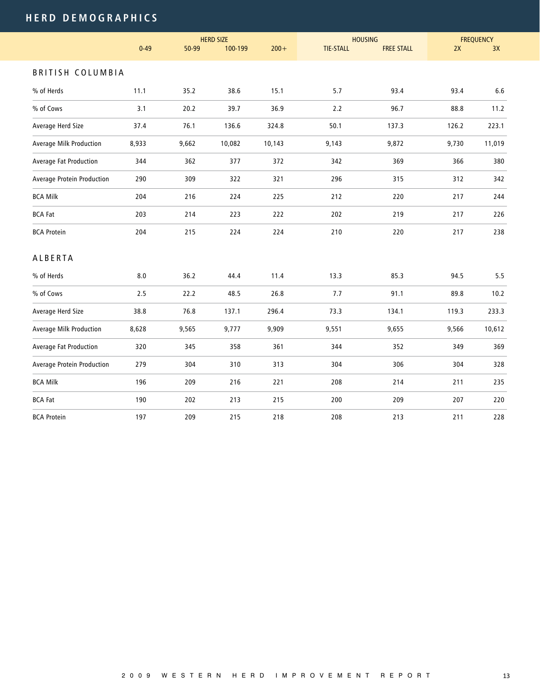# **HER D D E M O GR A P H I C S**

|                            |          |       | <b>HERD SIZE</b> |         |                  | <b>HOUSING</b>    | <b>FREQUENCY</b> |         |
|----------------------------|----------|-------|------------------|---------|------------------|-------------------|------------------|---------|
|                            | $0 - 49$ | 50-99 | 100-199          | $200 +$ | <b>TIE-STALL</b> | <b>FREE STALL</b> | 2X               | 3X      |
| <b>BRITISH COLUMBIA</b>    |          |       |                  |         |                  |                   |                  |         |
| % of Herds                 | 11.1     | 35.2  | 38.6             | 15.1    | 5.7              | 93.4              | 93.4             | $6.6\,$ |
| % of Cows                  | 3.1      | 20.2  | 39.7             | 36.9    | 2.2              | 96.7              | 88.8             | 11.2    |
| Average Herd Size          | 37.4     | 76.1  | 136.6            | 324.8   | 50.1             | 137.3             | 126.2            | 223.1   |
| Average Milk Production    | 8,933    | 9,662 | 10,082           | 10,143  | 9,143            | 9,872             | 9,730            | 11,019  |
| Average Fat Production     | 344      | 362   | 377              | 372     | 342              | 369               | 366              | 380     |
| Average Protein Production | 290      | 309   | 322              | 321     | 296              | 315               | 312              | 342     |
| <b>BCA Milk</b>            | 204      | 216   | 224              | 225     | 212              | 220               | 217              | 244     |
| <b>BCA Fat</b>             | 203      | 214   | 223              | 222     | 202              | 219               | 217              | 226     |
| <b>BCA Protein</b>         | 204      | 215   | 224              | 224     | 210              | 220               | 217              | 238     |
| ALBERTA                    |          |       |                  |         |                  |                   |                  |         |
| % of Herds                 | 8.0      | 36.2  | 44.4             | 11.4    | 13.3             | 85.3              | 94.5             | 5.5     |
| % of Cows                  | 2.5      | 22.2  | 48.5             | 26.8    | 7.7              | 91.1              | 89.8             | 10.2    |
| Average Herd Size          | 38.8     | 76.8  | 137.1            | 296.4   | 73.3             | 134.1             | 119.3            | 233.3   |
| Average Milk Production    | 8,628    | 9,565 | 9,777            | 9,909   | 9,551            | 9,655             | 9,566            | 10,612  |
| Average Fat Production     | 320      | 345   | 358              | 361     | 344              | 352               | 349              | 369     |
| Average Protein Production | 279      | 304   | 310              | 313     | 304              | 306               | 304              | 328     |
| <b>BCA Milk</b>            | 196      | 209   | 216              | 221     | 208              | 214               | 211              | 235     |
| <b>BCA Fat</b>             | 190      | 202   | 213              | 215     | 200              | 209               | 207              | 220     |
| <b>BCA Protein</b>         | 197      | 209   | 215              | 218     | 208              | 213               | 211              | 228     |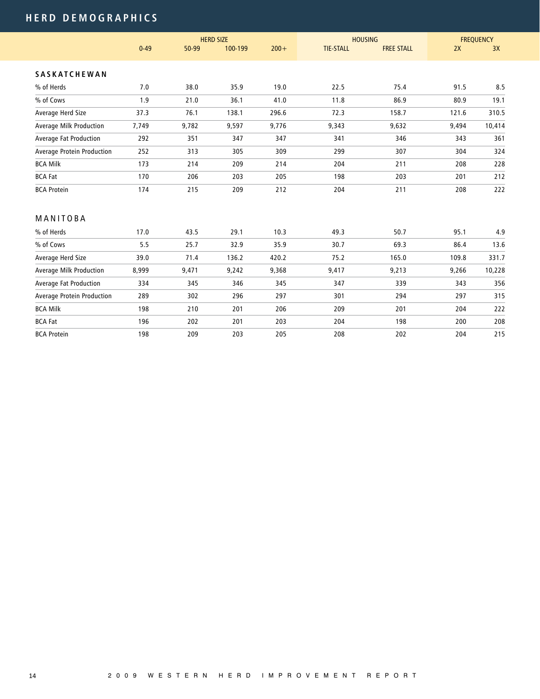# **HER D D E M O GR A P H I C S**

|                            | <b>HERD SIZE</b> |       |         |         | <b>HOUSING</b>   | <b>FREQUENCY</b>  |       |        |
|----------------------------|------------------|-------|---------|---------|------------------|-------------------|-------|--------|
|                            | $0 - 49$         | 50-99 | 100-199 | $200 +$ | <b>TIE-STALL</b> | <b>FREE STALL</b> | 2X    | 3X     |
| <b>SASKATCHEWAN</b>        |                  |       |         |         |                  |                   |       |        |
| % of Herds                 | 7.0              | 38.0  | 35.9    | 19.0    | 22.5             | 75.4              | 91.5  | 8.5    |
| % of Cows                  | 1.9              | 21.0  | 36.1    | 41.0    | 11.8             | 86.9              | 80.9  | 19.1   |
| Average Herd Size          | 37.3             | 76.1  | 138.1   | 296.6   | 72.3             | 158.7             | 121.6 | 310.5  |
| Average Milk Production    | 7,749            | 9,782 | 9,597   | 9,776   | 9,343            | 9,632             | 9,494 | 10,414 |
| Average Fat Production     | 292              | 351   | 347     | 347     | 341              | 346               | 343   | 361    |
| Average Protein Production | 252              | 313   | 305     | 309     | 299              | 307               | 304   | 324    |
| <b>BCA Milk</b>            | 173              | 214   | 209     | 214     | 204              | 211               | 208   | 228    |
| <b>BCA Fat</b>             | 170              | 206   | 203     | 205     | 198              | 203               | 201   | 212    |
| <b>BCA Protein</b>         | 174              | 215   | 209     | 212     | 204              | 211               | 208   | 222    |
| MANITOBA                   |                  |       |         |         |                  |                   |       |        |
| % of Herds                 | 17.0             | 43.5  | 29.1    | 10.3    | 49.3             | 50.7              | 95.1  | 4.9    |
| % of Cows                  | 5.5              | 25.7  | 32.9    | 35.9    | 30.7             | 69.3              | 86.4  | 13.6   |
| Average Herd Size          | 39.0             | 71.4  | 136.2   | 420.2   | 75.2             | 165.0             | 109.8 | 331.7  |
| Average Milk Production    | 8,999            | 9,471 | 9,242   | 9,368   | 9,417            | 9,213             | 9,266 | 10,228 |
| Average Fat Production     | 334              | 345   | 346     | 345     | 347              | 339               | 343   | 356    |
| Average Protein Production | 289              | 302   | 296     | 297     | 301              | 294               | 297   | 315    |
| <b>BCA Milk</b>            | 198              | 210   | 201     | 206     | 209              | 201               | 204   | 222    |
| <b>BCA Fat</b>             | 196              | 202   | 201     | 203     | 204              | 198               | 200   | 208    |
| <b>BCA Protein</b>         | 198              | 209   | 203     | 205     | 208              | 202               | 204   | 215    |